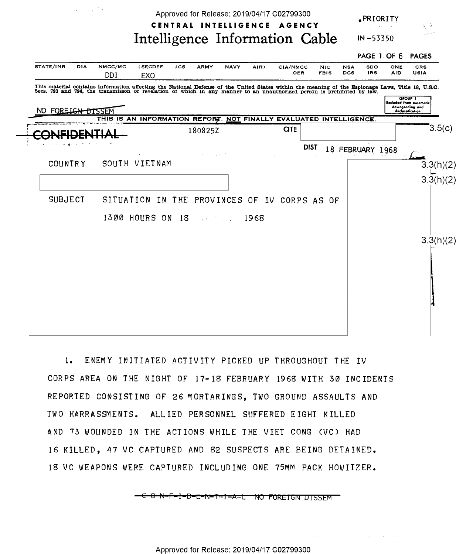Approved for Release: 2019/04/17 C02799300

 $\mathcal{L}^{\text{max}}_{\text{max}}$  and  $\mathcal{L}^{\text{max}}_{\text{max}}$ 

PRIORITY

 $IN - 53350$ 

 $\mathbb{Z}/\mathbb{C}^*$ 

## CENTRAL INTELLIGENCE AGENCY Intelligence Information Cable

|                                                                                                                                                                                                                                   |            |                |                                                                    |            |             |             |      |             |             |                           |                          |                   | PAGE 1 OF 6 PAGES |                                                                     |                            |
|-----------------------------------------------------------------------------------------------------------------------------------------------------------------------------------------------------------------------------------|------------|----------------|--------------------------------------------------------------------|------------|-------------|-------------|------|-------------|-------------|---------------------------|--------------------------|-------------------|-------------------|---------------------------------------------------------------------|----------------------------|
| STATE/INR                                                                                                                                                                                                                         | <b>DIA</b> | NMCC/MC<br>DDI | (SECDEF<br>EXO                                                     | <b>JCS</b> | <b>ARMY</b> | <b>NAVY</b> | AIR) | CIA/NMCC    | OER         | <b>NIC</b><br><b>FBIS</b> | <b>NSA</b><br><b>DCS</b> | SDO<br><b>IRS</b> | ONE<br><b>AID</b> | <b>CRS</b><br><b>USIA</b>                                           |                            |
| This material contains information affecting the National Defense of the United States within the meaning of the Espionage Laws, Title 18, U.S.C.<br>Secs. 793 and 794, the transmisson or revelation of which in any manner to a |            |                |                                                                    |            |             |             |      |             |             |                           |                          |                   |                   | <b>GROUP T</b><br><b>Excluded from automatic</b><br>downgrading and |                            |
| NO FOREIGN DISSEM                                                                                                                                                                                                                 |            |                | THIS IS AN INFORMATION REPORT, NOT FINALLY EVALUATED INTELLIGENCE. |            |             |             |      |             |             |                           |                          |                   |                   | declassification                                                    |                            |
| <b>DE</b>                                                                                                                                                                                                                         |            |                |                                                                    |            | 180825Z     |             |      | <b>CITE</b> |             |                           |                          |                   |                   |                                                                     | 3.5(c)                     |
|                                                                                                                                                                                                                                   |            |                |                                                                    |            |             |             |      |             | <b>DIST</b> |                           | 18 FEBRUARY 1968         |                   |                   |                                                                     |                            |
| <b>COUNTRY</b>                                                                                                                                                                                                                    |            |                | SOUTH VIETNAM                                                      |            |             |             |      |             |             |                           |                          |                   |                   |                                                                     |                            |
|                                                                                                                                                                                                                                   |            |                |                                                                    |            |             |             |      |             |             |                           |                          |                   |                   |                                                                     | $3.3(h)(2)$<br>$3.3(h)(2)$ |
| <b>SUBJECT</b>                                                                                                                                                                                                                    |            |                | SITUATION IN THE PROVINCES OF IV CORPS AS                          |            |             |             |      |             |             | 0 <sub>E</sub>            |                          |                   |                   |                                                                     |                            |
|                                                                                                                                                                                                                                   |            |                | 1300 HOURS ON 18 18                                                |            |             |             | 1968 |             |             |                           |                          |                   |                   |                                                                     |                            |
|                                                                                                                                                                                                                                   |            |                |                                                                    |            |             |             |      |             |             |                           |                          |                   |                   |                                                                     | 3.3(h)(2)                  |
|                                                                                                                                                                                                                                   |            |                |                                                                    |            |             |             |      |             |             |                           |                          |                   |                   |                                                                     |                            |
|                                                                                                                                                                                                                                   |            |                |                                                                    |            |             |             |      |             |             |                           |                          |                   |                   |                                                                     |                            |
|                                                                                                                                                                                                                                   |            |                |                                                                    |            |             |             |      |             |             |                           |                          |                   |                   |                                                                     |                            |
|                                                                                                                                                                                                                                   |            |                |                                                                    |            |             |             |      |             |             |                           |                          |                   |                   |                                                                     |                            |
|                                                                                                                                                                                                                                   |            |                |                                                                    |            |             |             |      |             |             |                           |                          |                   |                   |                                                                     |                            |
|                                                                                                                                                                                                                                   |            |                |                                                                    |            |             |             |      |             |             |                           |                          |                   |                   |                                                                     |                            |

1. ENEMY INITIATED ACTIVITY PICKED UP THROUGHOUT THE IV CORPS AREA ON THE NIGHT OF 17-18 FEBRUARY 1968 WITH 30 INCIDENTS REPORTED CONSISTING OF 26 MORTARINGS, TWO GROUND ASSAULTS AND TWO HARRASSMENTS. ALLIED PERSONNEL SUFFERED EIGHT KILLED AND 73 WOUNDED IN THE ACTIONS WHILE THE VIET CONG (VC) HAD 16 KILLED, 47 VC CAPTURED AND 82 SUSPECTS ARE BEING DETAINED. 18 VC WEAPONS WERE CAPTURED INCLUDING ONE 75MM PACK HOWITZER.

<del>C O N-F-I-D-E-N-T-I-A-L NO FOREIGN DISSEM</del>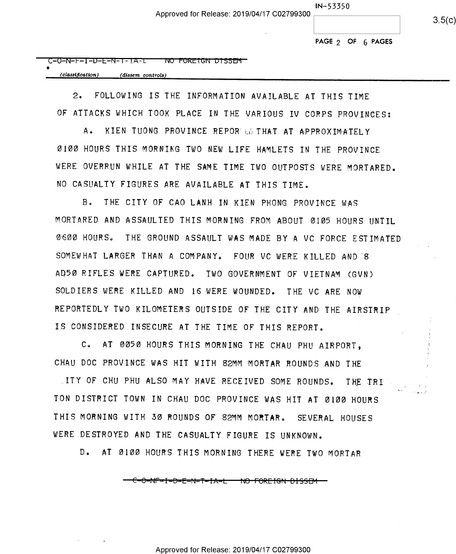$3.5(c)$ 

PAGE 2 OF 6 PAGES

| C-O-N-F-I-D-E-N-T-IA-L | NU TUREIGN DISSEM |  |
|------------------------|-------------------|--|
|                        |                   |  |

| (classification) | (dissem controls) |
|------------------|-------------------|
|                  |                   |

2- FOLLOWING IS THE INFORMATION AVAILABLE AT THIS TIME OF ATTACKS WHICH TOOK PLACE IN THE VARIOUS IV CORPS PROVINCES:

A. KIEN TUONG PROVINCE REPOR LO THAT AT APPROXIMATELY OIOO HOURS THIS MORNING TWO NEW LIFE HAMLETS IN THE PROVINCE WERE OVERRUN WHILE AT THE SAME TIME TWO OUTPOSTS WERE MORTARED. NO CASUALTY FIGURES ARE AVAILABLE AT THIS TIME.

B. THE CITY OF CAO LANH IN KIEN PHONG PROVINCE WAS MORTARED AND ASSAULTED THIS MORNING FROM ABOUT OIO5 HOURS UNTIL OSOO HOURSO THE GROUND ASSAULT WAS MADE BY A VC FORCE ESTIMATED SOMEWHAT LARGER THAN A COMPANY. FOUR VC WERE KILLED AND 8 AD5O RIFLES WERE CAPTURED. TWO GOVERNMENT OF VIETNAM (GVN) SOLDIERS WERE KILLED AND 16 WERE WOUNDED. THE VC ARE NOW REPORTEDLY TWO KILOMETERS OUTSIDE OF THE CITY AND THE AIRSTRIP IS CONSIDERED INSECURE AT THE TIME OF THIS REPORT.

C. AT OM50 HOURS THIS MORNING THE CHAU PHU AIRPORT, CHAU DOC PROVINCE WAS HIT WITH 82MM MORTAR ROUNDS AND THE

ITY OF CHU PHU ALSO MAY HAVE RECEIVED SOME ROUNDS. THE TRI TON DISTRICT TOWN IN CHAU DOC PROVINCE WAS HIT AT @100 HOURS THIS MORNING WITH SO ROUNDS OF 82MM MORTAR. SEVERAL HOUSES WERE DESTROYED AND THE CASUALTY FIGURE IS UNKNOWN.

D. AT OIOO HOURS THIS MORNING THERE WERE TWO MORTAR

E-6-N1'-I-B=E—N—1=-PI1A=l\_ N6—FOR\*E-I-%N—B-I-5-S-EM—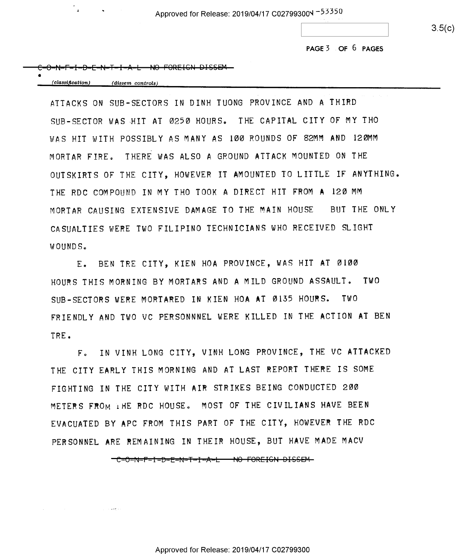$3.5(c)$ 

PAGE3 or 6 PAGES

|  |  | $C$ $A$ $B$ $F$ $B$ $F$ $M$ $T$ $I$ $A$ $F$ $N$ $R$ $E$ $C$ $D$ $E$ $T$ $C$ $F$ $M$ |  |
|--|--|-------------------------------------------------------------------------------------|--|
|  |  | <u> C-O-N-N-I-D-L-N-L-I-A-L- INV LONEIGN DISSON-</u>                                |  |

(classification) (dissem controls)

ATTACKS ON SUB-SECTORS IN DINH TUONG PROVINCE AND A THIRD SUB-SECTOR WAS HIT AT 0250 HOURS. THE CAPITAL CITY OF MY THO WAS HIT WITH POSSIBLY AS MANY AS IOU ROUNDS OF 82MM AND IZOMM MORTAR FIRE, THERE WAS ALSO A GROUND ATTACK MOUNTED ON THE OUTSKIRTS OF THE CITY, HOWEVER IT AMOUNTED TO LITTLE IF ANYTHING. THE RDC COMPOUND IN MY THO TOOK A DIRECT HIT FROM A 120 MM MORTAR CAUSING EXTENSIVE DAMAGE TO THE MAIN HOUSE BUT THE ONLY CASUALTIES WERE TWO FILIPINO TECHNICIANS WHO RECEIVED SLIGHT WOUNDS

E. BEN TRE CITY, KIEN HOA PROVINCE, WAS HIT AT Ø100 HOURS THIS MORNING BY MORTARS AND A MILD GROUND ASSAULT. TWO SUB-SECTORS WERE MORTARED IN KIEN HOA AT D135 HOURS. TWO FRIENDLY AND TWO VC PERSONNNEL WERE KILLED IN THE ACTION AT BEN TRE.

F. IN VINH LONG CITY, VINH LONG PROVINCE, THE VC ATTACKED THE CITY EARLY THIS MORNING AND AT LAST REPORT THERE IS SOME FIGHTING IN THE CITY WITH AIR STRIKES BEING CONDUCTED ZOO METERS FROM THE RDC HOUSE. MOST OF THE CIVILIANS HAVE BEEN EVACUATED BY APC FROM THIS PART OF THE CITY, HOWEVER THE RDC PERSONNEL ARE REMAINING IN THEIR HOUSE, BUT HAVE MADE MACV

-C-O-N-F-I-D-E-N-T-I-A-L - NO FOREIGN DISSEM

Approved for Release: 2019/04/17 C02799300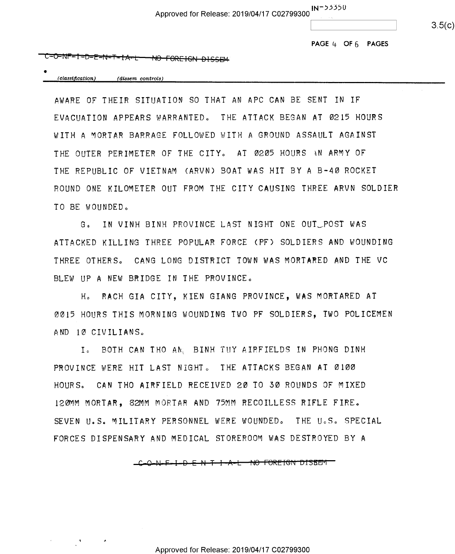Approved for Release: 2019/04/17 C02799300 IN<sup>-53350</sup>

 $3.5(c)$ 

PAGE  $4$  OF  $6$  PAGES

## ℃-©=NF-I-D-E-N-T-IA-L-<del>NO FOREIGN DISSEM</del>

(classification) (dissem controls)

AWARE OF THEIR SITUATION SO THAT AN APC CAN BE SENT IN IF EVACUATION APPEARS WARRANTED. THE ATTACK BEGAN AT 0215 HOURS WITH A MORTAR BARRAGE FOLLOWED WITH A GROUND ASSAULT AGAINST THE OUTER PERIMETER OF THE CITY. AT 0205 HOURS AN ARMY OF THE REPUBLIC OF VIETNAM (ARVN) BOAT WAS HIT BY A B-4O ROCKET ROUND ONE KILOMETER OUT FROM THE CITY CAUSING THREE ARVN SOLDIER TO BE WOUNDED.

G. IN VINH BINH PROVINCE LAST NIGHT ONE OUT POST WAS ATTACKED KILLING THREE POPULAR FORCE (PF) SOLDIERS AND WOUNDING THREE OTHERS" CANG LONG DISTRICT TOWN WAS MORTARED AND THE VC BLEW UP A NEW BRIDGE IN THE PROVINCE.

Ho RACH GIA CITY, KIEN GIANG PROVINCE, WAS MORTARED AT OOT5 HOURS THIS MORNING WOUNDING TWO PF SOLDIERS, TWO POLICEMEN AND 10 CIVILIANS.

Io BOTH CAN THO ANL BINH TUY AIRFIELDS IN PHONG DINH PROVINCE WERE HIT LAST NIGHT. THE ATTACKS BEGAN AT 0100 HOURS» CAN THO AIRFIELD RECEIVED 2D TO SO ROUNDS OF MIXED IZBMM MORTAR, SZMM MORTAR AND 75MM RECOILLESS RIFLE FIRE. SEVEN U.S. MILITARY PERSONNEL WERE WOUNDED. THE U.S. SPECIAL FORCES DISPENSARY AND MEDICAL STOREROOM WAS DESTROYED BY <sup>A</sup>

C-Q-N-F-I-D-E-N-<del>T-I-A-L-NO-FOREIGN-DISBEM-</del>

Approved for Release: 2019/04/17 C02799300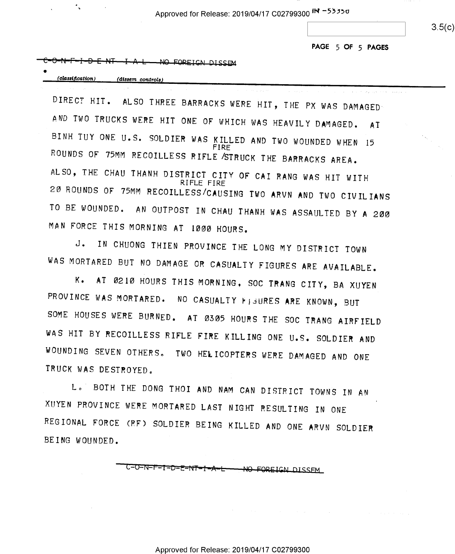Approved for Release: 2019/04/17 C02799300 IN -53350

 $3.5(c)$ 

PAGE 5 OF 5 PAGES

الفواقعة الفاقات ووبالإفراد المنافر

## -NO FORETCN DISSEM

| (classification) | (dissem controls) |
|------------------|-------------------|
|                  |                   |

DIRECT HIT. ALSO THREE BARRACKS WERE HIT, THE PX WAS DAMAGED AND TWO TRUCKS WERE HIT ONE OF WHICH WAS HEAVILY DAMAGED. AT BINH TUY ONE U.S. SOLDIER WAS KILLED AND TWO WOUNDED WHEN 15 ROUNDS OF 75MM RECOILLESS RIFLE STRUCK THE BARRACKS AREA.<br>ALSO, THE CHAU THANH DISTRICT CITY OF CAI RANG WAS HIT WITH RIFLE FIRE<br>20 ROUNDS OF 75MM RECOILLESS/CAUSING TWO ARVN AND TWO CIVILIANS TO BE WOUNDED. AN OUTPOST IN CHAU THANH WAS ASSAULTED BY A 200 MAN FORCE THIS MORNING AT 1000 HOURS.

J. IN CHUONG THIEN PROVINCE THE LONG MY DISTRICT TOWN WAS MORTARED BUT NO DAMAGE OR CASUALTY FIGURES ARE AVAILABLE.

K. AT 0210 HOURS THIS MORNING, SOC TRANG CITY, BA XUYEN PROVINCE WAS MORTARED. NO CASUALTY FIGURES ARE KNOWN, BUT SOME HOUSES WERE BURNED. AT D505 HOURS THE SOC TRANG AIRFIELD WAS HIT BY RECOILLESS RIFLE FIRE KILLING ONE U.S. SOLDIER AND WOUNDING SEVEN OTHERS. TWO HELICOPTERS WERE DAMAGED AND ONE TRUCK WAS DESTROYED.

Lo' BOTH THE DONG THOI AND NAM CAN DISTRICT TOWNS IN AN XUYEN PROVINCE WERE MORTARED LAST NIGHT RESULTING IN ONE REGIONAL FORCE (RF) SOLDIER BEING KILLED AND ONE ARVN SOLDIER BEING WOUNDED.

> C-O-N-F-I-D-E-NT-I-A-L-<del>- NO FOREIC</del>N DISSFM